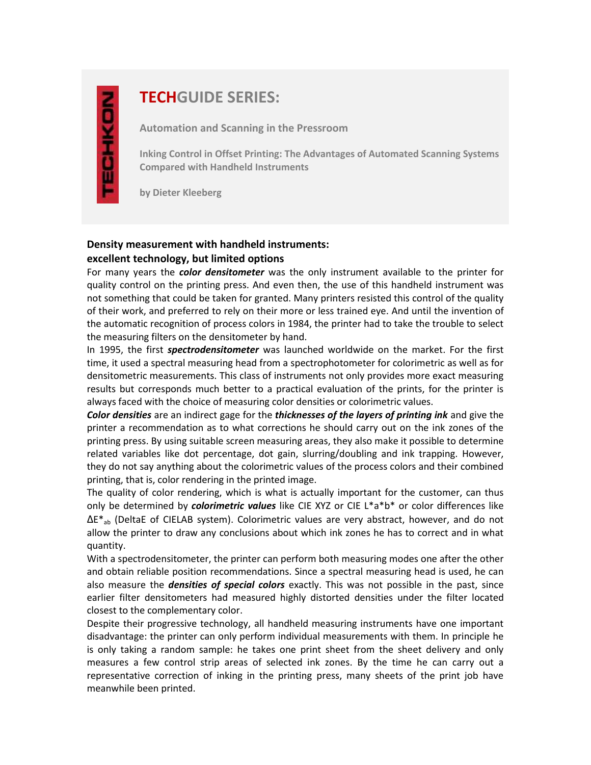# **TECHGUIDE SERIES:**

**Automation and Scanning in the Pressroom**

**Inking Control in Offset Printing: The Advantages of Automated Scanning Systems Compared with Handheld Instruments**

**by Dieter Kleeberg**

## **Density measurement with handheld instruments: excellent technology, but limited options**

For many years the *color densitometer* was the only instrument available to the printer for quality control on the printing press. And even then, the use of this handheld instrument was not something that could be taken for granted. Many printers resisted this control of the quality of their work, and preferred to rely on their more or less trained eye. And until the invention of the automatic recognition of process colors in 1984, the printer had to take the trouble to select the measuring filters on the densitometer by hand.

In 1995, the first *spectrodensitometer* was launched worldwide on the market. For the first time, it used a spectral measuring head from a spectrophotometer for colorimetric as well as for densitometric measurements. This class of instruments not only provides more exact measuring results but corresponds much better to a practical evaluation of the prints, for the printer is always faced with the choice of measuring color densities or colorimetric values.

*Color densities* are an indirect gage for the *thicknesses of the layers of printing ink* and give the printer a recommendation as to what corrections he should carry out on the ink zones of the printing press. By using suitable screen measuring areas, they also make it possible to determine related variables like dot percentage, dot gain, slurring/doubling and ink trapping. However, they do not say anything about the colorimetric values of the process colors and their combined printing, that is, color rendering in the printed image.

The quality of color rendering, which is what is actually important for the customer, can thus only be determined by *colorimetric values* like CIE XYZ or CIE L\*a\*b\* or color differences like  $\Delta E^*$ <sub>ab</sub> (DeltaE of CIELAB system). Colorimetric values are very abstract, however, and do not allow the printer to draw any conclusions about which ink zones he has to correct and in what quantity.

With a spectrodensitometer, the printer can perform both measuring modes one after the other and obtain reliable position recommendations. Since a spectral measuring head is used, he can also measure the *densities of special colors* exactly. This was not possible in the past, since earlier filter densitometers had measured highly distorted densities under the filter located closest to the complementary color.

Despite their progressive technology, all handheld measuring instruments have one important disadvantage: the printer can only perform individual measurements with them. In principle he is only taking a random sample: he takes one print sheet from the sheet delivery and only measures a few control strip areas of selected ink zones. By the time he can carry out a representative correction of inking in the printing press, many sheets of the print job have meanwhile been printed.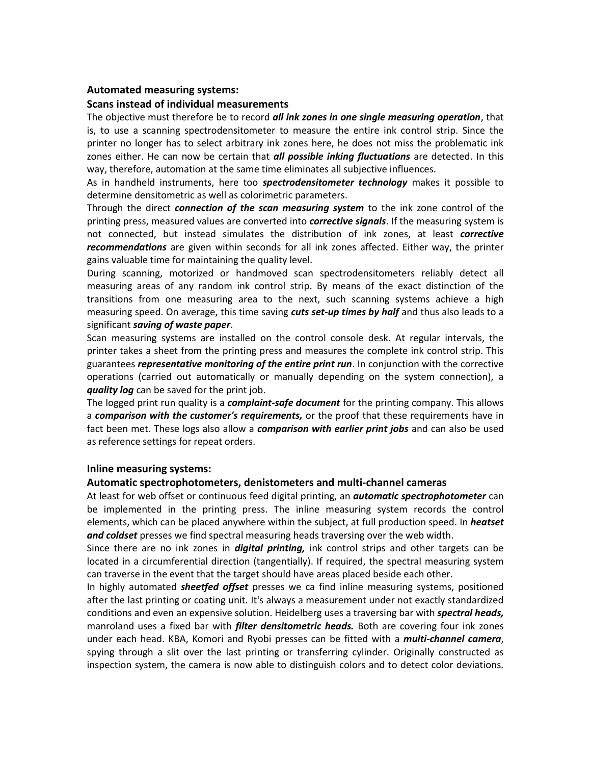### **Automated measuring systems:**

#### **Scans instead of individual measurements**

The objective must therefore be to record *all ink zones in one single measuring operation*, that is, to use a scanning spectrodensitometer to measure the entire ink control strip. Since the printer no longer has to select arbitrary ink zones here, he does not miss the problematic ink zones either. He can now be certain that *all possible inking fluctuations* are detected. In this way, therefore, automation at the same time eliminates all subjective influences.

As in handheld instruments, here too *spectrodensitometer technology* makes it possible to determine densitometric as well as colorimetric parameters.

Through the direct *connection of the scan measuring system* to the ink zone control of the printing press, measured values are converted into *corrective signals*. If the measuring system is not connected, but instead simulates the distribution of ink zones, at least *corrective recommendations* are given within seconds for all ink zones affected. Either way, the printer gains valuable time for maintaining the quality level.

During scanning, motorized or handmoved scan spectrodensitometers reliably detect all measuring areas of any random ink control strip. By means of the exact distinction of the transitions from one measuring area to the next, such scanning systems achieve a high measuring speed. On average, this time saving *cuts set-up times by half* and thus also leads to a significant *saving of waste paper*.

Scan measuring systems are installed on the control console desk. At regular intervals, the printer takes a sheet from the printing press and measures the complete ink control strip. This guarantees *representative monitoring of the entire print run*. In conjunction with the corrective operations (carried out automatically or manually depending on the system connection), a *quality log* can be saved for the print job.

The logged print run quality is a *complaint-safe document* for the printing company. This allows a *comparison with the customer's requirements,* or the proof that these requirements have in fact been met. These logs also allow a *comparison with earlier print jobs* and can also be used as reference settings for repeat orders.

#### **Inline measuring systems:**

#### **Automatic spectrophotometers, denistometers and multi-channel cameras**

At least for web offset or continuous feed digital printing, an *automatic spectrophotometer* can be implemented in the printing press. The inline measuring system records the control elements, which can be placed anywhere within the subject, at full production speed. In *heatset and coldset* presses we find spectral measuring heads traversing over the web width.

Since there are no ink zones in *digital printing,* ink control strips and other targets can be located in a circumferential direction (tangentially). If required, the spectral measuring system can traverse in the event that the target should have areas placed beside each other.

In highly automated *sheetfed offset* presses we ca find inline measuring systems, positioned after the last printing or coating unit. It's always a measurement under not exactly standardized conditions and even an expensive solution. Heidelberg uses a traversing bar with *spectral heads,* manroland uses a fixed bar with *filter densitometric heads.* Both are covering four ink zones under each head. KBA, Komori and Ryobi presses can be fitted with a *multi-channel camera*, spying through a slit over the last printing or transferring cylinder. Originally constructed as inspection system, the camera is now able to distinguish colors and to detect color deviations.